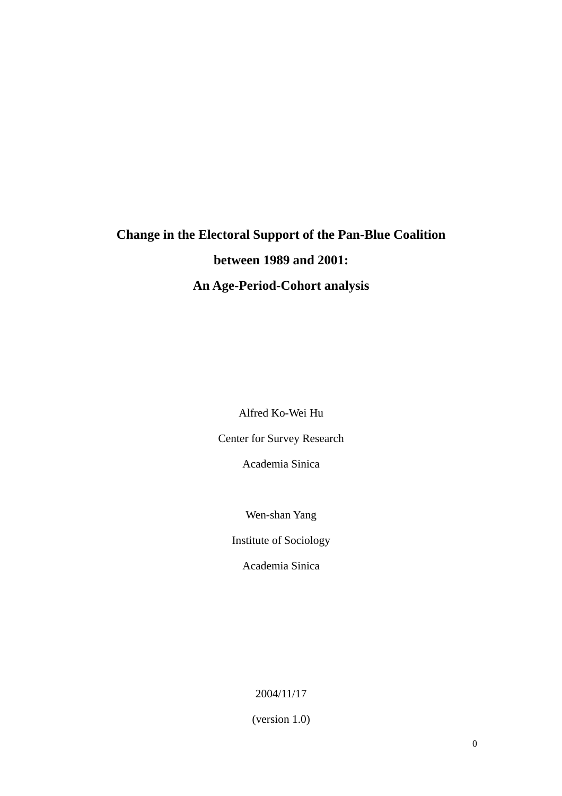# **Change in the Electoral Support of the Pan-Blue Coalition between 1989 and 2001: An Age-Period-Cohort analysis**

Alfred Ko-Wei Hu

Center for Survey Research

Academia Sinica

Wen-shan Yang

Institute of Sociology

Academia Sinica

2004/11/17

(version 1.0)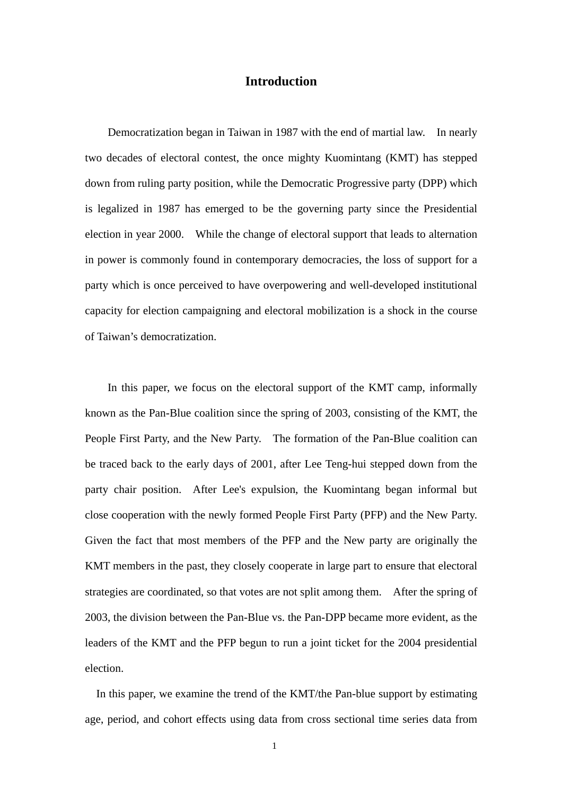## **Introduction**

Democratization began in Taiwan in 1987 with the end of martial law. In nearly two decades of electoral contest, the once mighty Kuomintang (KMT) has stepped down from ruling party position, while the Democratic Progressive party (DPP) which is legalized in 1987 has emerged to be the governing party since the Presidential election in year 2000. While the change of electoral support that leads to alternation in power is commonly found in contemporary democracies, the loss of support for a party which is once perceived to have overpowering and well-developed institutional capacity for election campaigning and electoral mobilization is a shock in the course of Taiwan's democratization.

 In this paper, we focus on the electoral support of the KMT camp, informally known as the Pan-Blue coalition since the spring of 2003, consisting of the KMT, the People First Party, and the New Party. The formation of the Pan-Blue coalition can be traced back to the early days of 2001, after Lee Teng-hui stepped down from the party chair position. After Lee's expulsion, the Kuomintang began informal but close cooperation with the newly formed People First Party (PFP) and the New Party. Given the fact that most members of the PFP and the New party are originally the KMT members in the past, they closely cooperate in large part to ensure that electoral strategies are coordinated, so that votes are not split among them. After the spring of 2003, the division between the Pan-Blue vs. the Pan-DPP became more evident, as the leaders of the KMT and the PFP begun to run a joint ticket for the 2004 presidential election.

 In this paper, we examine the trend of the KMT/the Pan-blue support by estimating age, period, and cohort effects using data from cross sectional time series data from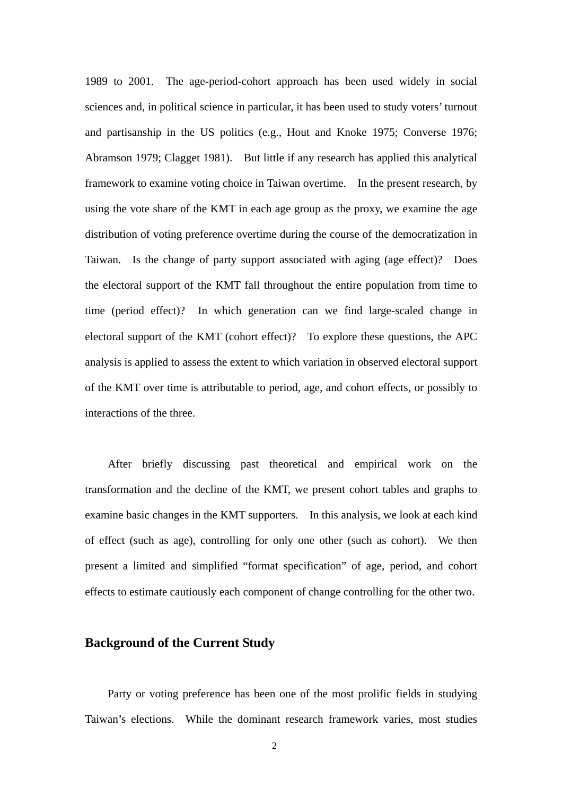1989 to 2001. The age-period-cohort approach has been used widely in social sciences and, in political science in particular, it has been used to study voters' turnout and partisanship in the US politics (e.g., Hout and Knoke 1975; Converse 1976; Abramson 1979; Clagget 1981). But little if any research has applied this analytical framework to examine voting choice in Taiwan overtime. In the present research, by using the vote share of the KMT in each age group as the proxy, we examine the age distribution of voting preference overtime during the course of the democratization in Taiwan. Is the change of party support associated with aging (age effect)? Does the electoral support of the KMT fall throughout the entire population from time to time (period effect)? In which generation can we find large-scaled change in electoral support of the KMT (cohort effect)? To explore these questions, the APC analysis is applied to assess the extent to which variation in observed electoral support of the KMT over time is attributable to period, age, and cohort effects, or possibly to interactions of the three.

After briefly discussing past theoretical and empirical work on the transformation and the decline of the KMT, we present cohort tables and graphs to examine basic changes in the KMT supporters. In this analysis, we look at each kind of effect (such as age), controlling for only one other (such as cohort). We then present a limited and simplified "format specification" of age, period, and cohort effects to estimate cautiously each component of change controlling for the other two.

#### **Background of the Current Study**

Party or voting preference has been one of the most prolific fields in studying Taiwan's elections. While the dominant research framework varies, most studies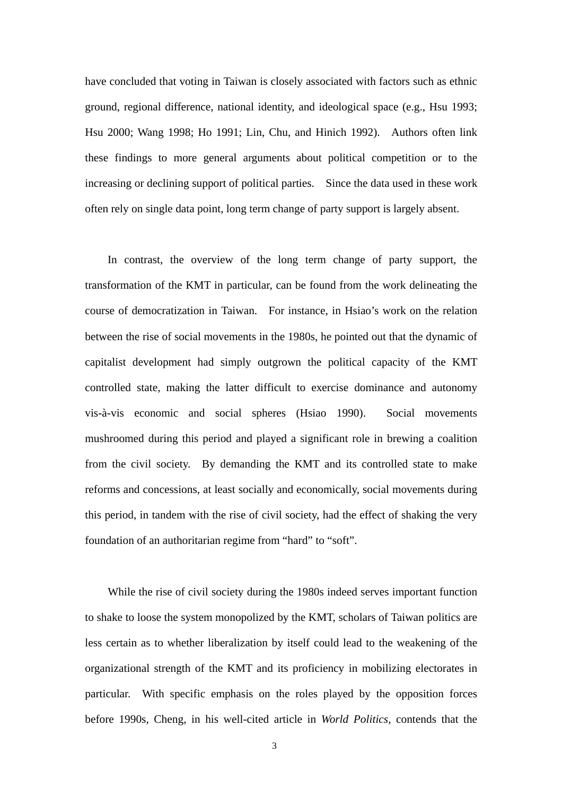have concluded that voting in Taiwan is closely associated with factors such as ethnic ground, regional difference, national identity, and ideological space (e.g., Hsu 1993; Hsu 2000; Wang 1998; Ho 1991; Lin, Chu, and Hinich 1992). Authors often link these findings to more general arguments about political competition or to the increasing or declining support of political parties. Since the data used in these work often rely on single data point, long term change of party support is largely absent.

In contrast, the overview of the long term change of party support, the transformation of the KMT in particular, can be found from the work delineating the course of democratization in Taiwan. For instance, in Hsiao's work on the relation between the rise of social movements in the 1980s, he pointed out that the dynamic of capitalist development had simply outgrown the political capacity of the KMT controlled state, making the latter difficult to exercise dominance and autonomy vis-à-vis economic and social spheres (Hsiao 1990). Social movements mushroomed during this period and played a significant role in brewing a coalition from the civil society. By demanding the KMT and its controlled state to make reforms and concessions, at least socially and economically, social movements during this period, in tandem with the rise of civil society, had the effect of shaking the very foundation of an authoritarian regime from "hard" to "soft".

While the rise of civil society during the 1980s indeed serves important function to shake to loose the system monopolized by the KMT, scholars of Taiwan politics are less certain as to whether liberalization by itself could lead to the weakening of the organizational strength of the KMT and its proficiency in mobilizing electorates in particular. With specific emphasis on the roles played by the opposition forces before 1990s, Cheng, in his well-cited article in *World Politics,* contends that the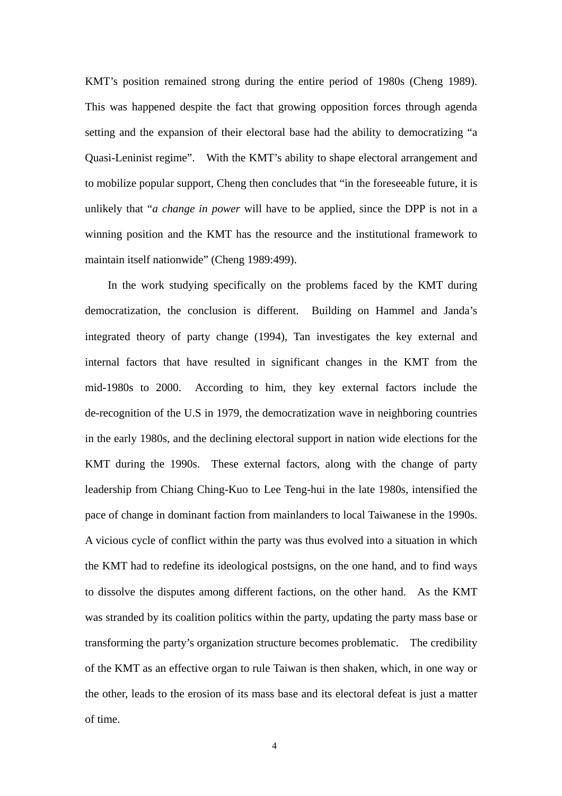KMT's position remained strong during the entire period of 1980s (Cheng 1989). This was happened despite the fact that growing opposition forces through agenda setting and the expansion of their electoral base had the ability to democratizing "a Quasi-Leninist regime". With the KMT's ability to shape electoral arrangement and to mobilize popular support, Cheng then concludes that "in the foreseeable future, it is unlikely that "*a change in power* will have to be applied, since the DPP is not in a winning position and the KMT has the resource and the institutional framework to maintain itself nationwide" (Cheng 1989:499).

In the work studying specifically on the problems faced by the KMT during democratization, the conclusion is different. Building on Hammel and Janda's integrated theory of party change (1994), Tan investigates the key external and internal factors that have resulted in significant changes in the KMT from the mid-1980s to 2000. According to him, they key external factors include the de-recognition of the U.S in 1979, the democratization wave in neighboring countries in the early 1980s, and the declining electoral support in nation wide elections for the KMT during the 1990s. These external factors, along with the change of party leadership from Chiang Ching-Kuo to Lee Teng-hui in the late 1980s, intensified the pace of change in dominant faction from mainlanders to local Taiwanese in the 1990s. A vicious cycle of conflict within the party was thus evolved into a situation in which the KMT had to redefine its ideological postsigns, on the one hand, and to find ways to dissolve the disputes among different factions, on the other hand. As the KMT was stranded by its coalition politics within the party, updating the party mass base or transforming the party's organization structure becomes problematic. The credibility of the KMT as an effective organ to rule Taiwan is then shaken, which, in one way or the other, leads to the erosion of its mass base and its electoral defeat is just a matter of time.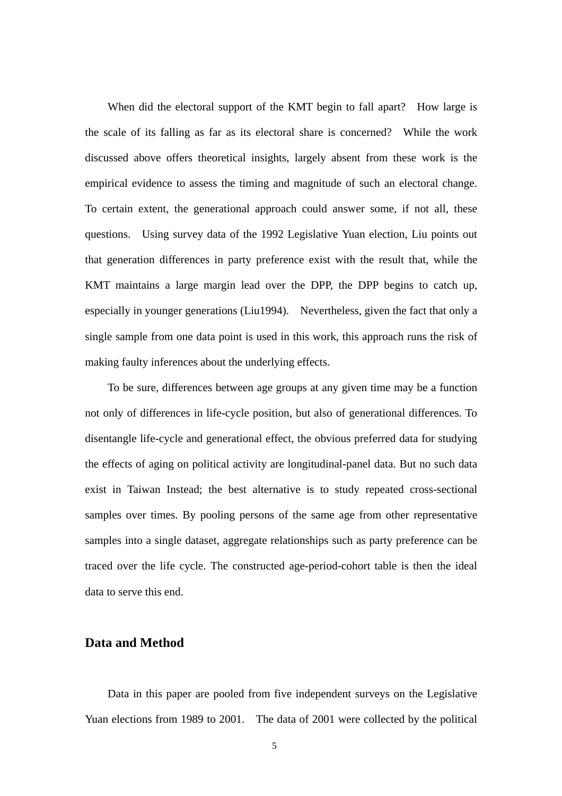When did the electoral support of the KMT begin to fall apart? How large is the scale of its falling as far as its electoral share is concerned? While the work discussed above offers theoretical insights, largely absent from these work is the empirical evidence to assess the timing and magnitude of such an electoral change. To certain extent, the generational approach could answer some, if not all, these questions. Using survey data of the 1992 Legislative Yuan election, Liu points out that generation differences in party preference exist with the result that, while the KMT maintains a large margin lead over the DPP, the DPP begins to catch up, especially in younger generations (Liu1994). Nevertheless, given the fact that only a single sample from one data point is used in this work, this approach runs the risk of making faulty inferences about the underlying effects.

To be sure, differences between age groups at any given time may be a function not only of differences in life-cycle position, but also of generational differences. To disentangle life-cycle and generational effect, the obvious preferred data for studying the effects of aging on political activity are longitudinal-panel data. But no such data exist in Taiwan Instead; the best alternative is to study repeated cross-sectional samples over times. By pooling persons of the same age from other representative samples into a single dataset, aggregate relationships such as party preference can be traced over the life cycle. The constructed age-period-cohort table is then the ideal data to serve this end.

#### **Data and Method**

 Data in this paper are pooled from five independent surveys on the Legislative Yuan elections from 1989 to 2001. The data of 2001 were collected by the political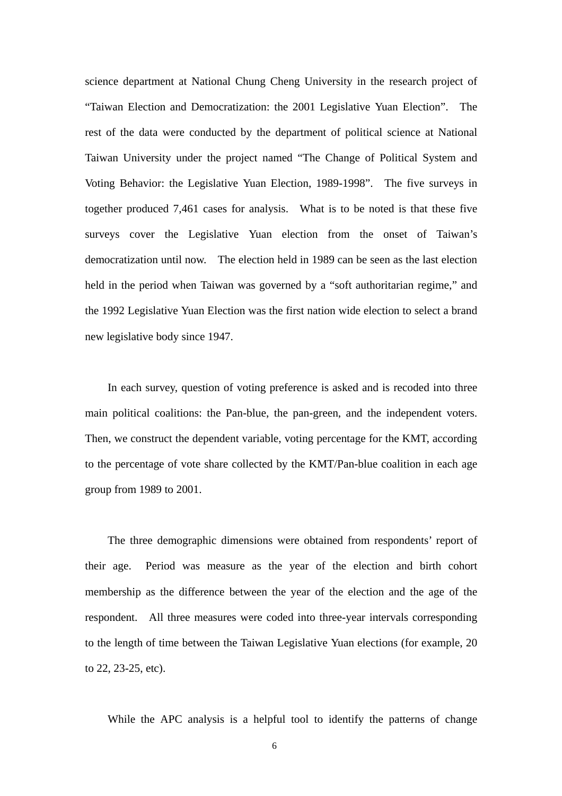science department at National Chung Cheng University in the research project of "Taiwan Election and Democratization: the 2001 Legislative Yuan Election". The rest of the data were conducted by the department of political science at National Taiwan University under the project named "The Change of Political System and Voting Behavior: the Legislative Yuan Election, 1989-1998". The five surveys in together produced 7,461 cases for analysis. What is to be noted is that these five surveys cover the Legislative Yuan election from the onset of Taiwan's democratization until now. The election held in 1989 can be seen as the last election held in the period when Taiwan was governed by a "soft authoritarian regime," and the 1992 Legislative Yuan Election was the first nation wide election to select a brand new legislative body since 1947.

In each survey, question of voting preference is asked and is recoded into three main political coalitions: the Pan-blue, the pan-green, and the independent voters. Then, we construct the dependent variable, voting percentage for the KMT, according to the percentage of vote share collected by the KMT/Pan-blue coalition in each age group from 1989 to 2001.

 The three demographic dimensions were obtained from respondents' report of their age. Period was measure as the year of the election and birth cohort membership as the difference between the year of the election and the age of the respondent. All three measures were coded into three-year intervals corresponding to the length of time between the Taiwan Legislative Yuan elections (for example, 20 to 22, 23-25, etc).

While the APC analysis is a helpful tool to identify the patterns of change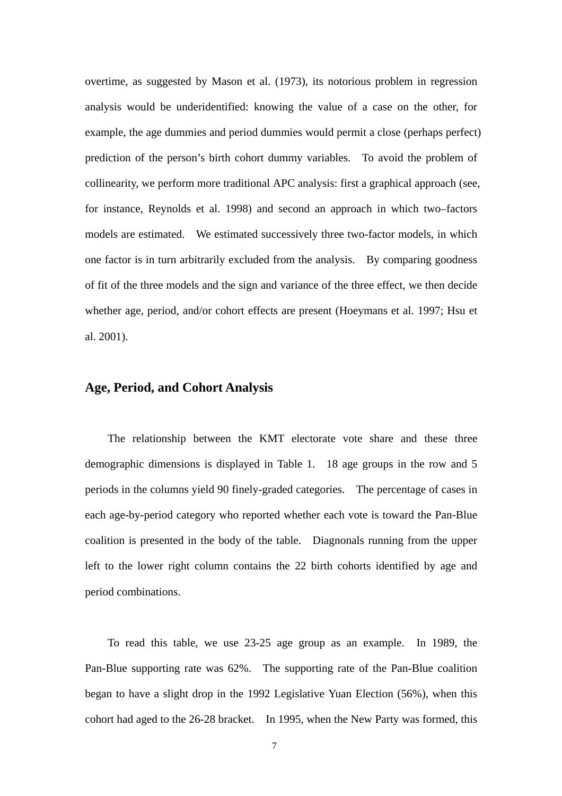overtime, as suggested by Mason et al. (1973), its notorious problem in regression analysis would be underidentified: knowing the value of a case on the other, for example, the age dummies and period dummies would permit a close (perhaps perfect) prediction of the person's birth cohort dummy variables. To avoid the problem of collinearity, we perform more traditional APC analysis: first a graphical approach (see, for instance, Reynolds et al. 1998) and second an approach in which two–factors models are estimated. We estimated successively three two-factor models, in which one factor is in turn arbitrarily excluded from the analysis. By comparing goodness of fit of the three models and the sign and variance of the three effect, we then decide whether age, period, and/or cohort effects are present (Hoeymans et al. 1997; Hsu et al. 2001).

### **Age, Period, and Cohort Analysis**

 The relationship between the KMT electorate vote share and these three demographic dimensions is displayed in Table 1. 18 age groups in the row and 5 periods in the columns yield 90 finely-graded categories. The percentage of cases in each age-by-period category who reported whether each vote is toward the Pan-Blue coalition is presented in the body of the table. Diagnonals running from the upper left to the lower right column contains the 22 birth cohorts identified by age and period combinations.

 To read this table, we use 23-25 age group as an example. In 1989, the Pan-Blue supporting rate was 62%. The supporting rate of the Pan-Blue coalition began to have a slight drop in the 1992 Legislative Yuan Election (56%), when this cohort had aged to the 26-28 bracket. In 1995, when the New Party was formed, this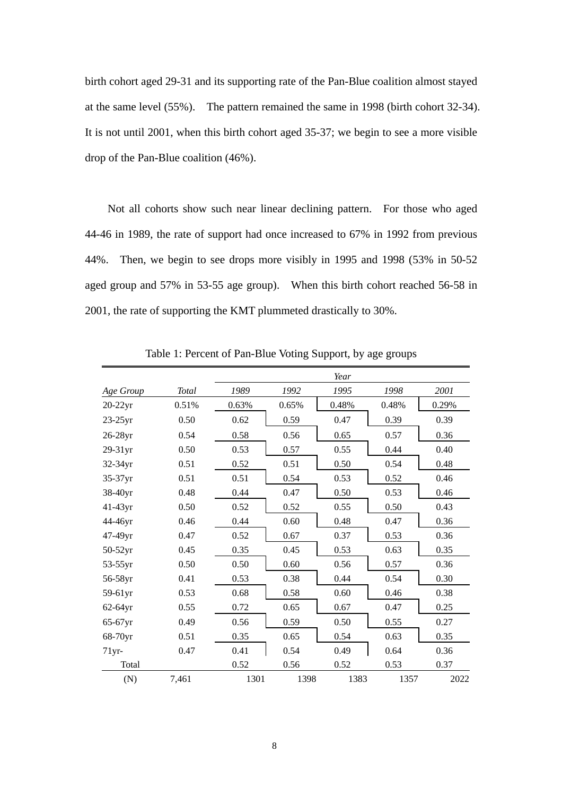birth cohort aged 29-31 and its supporting rate of the Pan-Blue coalition almost stayed at the same level (55%). The pattern remained the same in 1998 (birth cohort 32-34). It is not until 2001, when this birth cohort aged 35-37; we begin to see a more visible drop of the Pan-Blue coalition (46%).

 Not all cohorts show such near linear declining pattern. For those who aged 44-46 in 1989, the rate of support had once increased to 67% in 1992 from previous 44%. Then, we begin to see drops more visibly in 1995 and 1998 (53% in 50-52 aged group and 57% in 53-55 age group). When this birth cohort reached 56-58 in 2001, the rate of supporting the KMT plummeted drastically to 30%.

|            |       |       |       | Year  |       |       |
|------------|-------|-------|-------|-------|-------|-------|
| Age Group  | Total | 1989  | 1992  | 1995  | 1998  | 2001  |
| $20-22yr$  | 0.51% | 0.63% | 0.65% | 0.48% | 0.48% | 0.29% |
| $23-25$ yr | 0.50  | 0.62  | 0.59  | 0.47  | 0.39  | 0.39  |
| 26-28yr    | 0.54  | 0.58  | 0.56  | 0.65  | 0.57  | 0.36  |
| 29-31yr    | 0.50  | 0.53  | 0.57  | 0.55  | 0.44  | 0.40  |
| 32-34yr    | 0.51  | 0.52  | 0.51  | 0.50  | 0.54  | 0.48  |
| 35-37yr    | 0.51  | 0.51  | 0.54  | 0.53  | 0.52  | 0.46  |
| 38-40yr    | 0.48  | 0.44  | 0.47  | 0.50  | 0.53  | 0.46  |
| 41-43yr    | 0.50  | 0.52  | 0.52  | 0.55  | 0.50  | 0.43  |
| 44-46yr    | 0.46  | 0.44  | 0.60  | 0.48  | 0.47  | 0.36  |
| 47-49yr    | 0.47  | 0.52  | 0.67  | 0.37  | 0.53  | 0.36  |
| 50-52yr    | 0.45  | 0.35  | 0.45  | 0.53  | 0.63  | 0.35  |
| 53-55yr    | 0.50  | 0.50  | 0.60  | 0.56  | 0.57  | 0.36  |
| 56-58yr    | 0.41  | 0.53  | 0.38  | 0.44  | 0.54  | 0.30  |
| 59-61yr    | 0.53  | 0.68  | 0.58  | 0.60  | 0.46  | 0.38  |
| $62-64yr$  | 0.55  | 0.72  | 0.65  | 0.67  | 0.47  | 0.25  |
| 65-67yr    | 0.49  | 0.56  | 0.59  | 0.50  | 0.55  | 0.27  |
| 68-70yr    | 0.51  | 0.35  | 0.65  | 0.54  | 0.63  | 0.35  |
| $71$ yr-   | 0.47  | 0.41  | 0.54  | 0.49  | 0.64  | 0.36  |
| Total      |       | 0.52  | 0.56  | 0.52  | 0.53  | 0.37  |
| (N)        | 7,461 | 1301  | 1398  | 1383  | 1357  | 2022  |

Table 1: Percent of Pan-Blue Voting Support, by age groups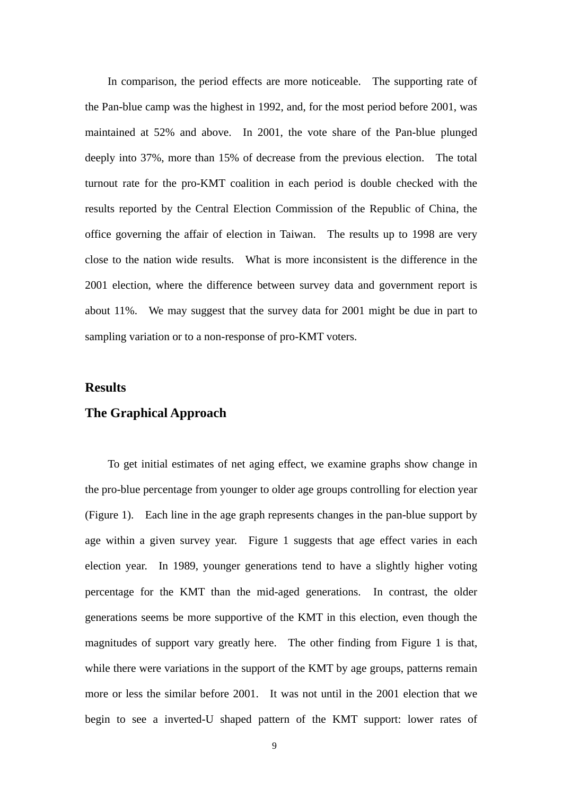In comparison, the period effects are more noticeable. The supporting rate of the Pan-blue camp was the highest in 1992, and, for the most period before 2001, was maintained at 52% and above. In 2001, the vote share of the Pan-blue plunged deeply into 37%, more than 15% of decrease from the previous election. The total turnout rate for the pro-KMT coalition in each period is double checked with the results reported by the Central Election Commission of the Republic of China, the office governing the affair of election in Taiwan. The results up to 1998 are very close to the nation wide results. What is more inconsistent is the difference in the 2001 election, where the difference between survey data and government report is about 11%. We may suggest that the survey data for 2001 might be due in part to sampling variation or to a non-response of pro-KMT voters.

#### **Results**

#### **The Graphical Approach**

To get initial estimates of net aging effect, we examine graphs show change in the pro-blue percentage from younger to older age groups controlling for election year (Figure 1). Each line in the age graph represents changes in the pan-blue support by age within a given survey year. Figure 1 suggests that age effect varies in each election year. In 1989, younger generations tend to have a slightly higher voting percentage for the KMT than the mid-aged generations. In contrast, the older generations seems be more supportive of the KMT in this election, even though the magnitudes of support vary greatly here. The other finding from Figure 1 is that, while there were variations in the support of the KMT by age groups, patterns remain more or less the similar before 2001. It was not until in the 2001 election that we begin to see a inverted-U shaped pattern of the KMT support: lower rates of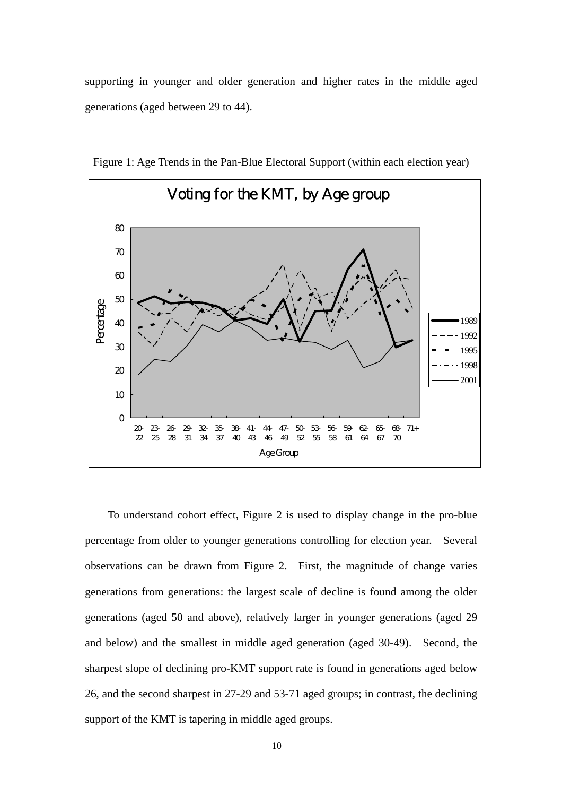supporting in younger and older generation and higher rates in the middle aged generations (aged between 29 to 44).



Figure 1: Age Trends in the Pan-Blue Electoral Support (within each election year)

 To understand cohort effect, Figure 2 is used to display change in the pro-blue percentage from older to younger generations controlling for election year. Several observations can be drawn from Figure 2. First, the magnitude of change varies generations from generations: the largest scale of decline is found among the older generations (aged 50 and above), relatively larger in younger generations (aged 29 and below) and the smallest in middle aged generation (aged 30-49). Second, the sharpest slope of declining pro-KMT support rate is found in generations aged below 26, and the second sharpest in 27-29 and 53-71 aged groups; in contrast, the declining support of the KMT is tapering in middle aged groups.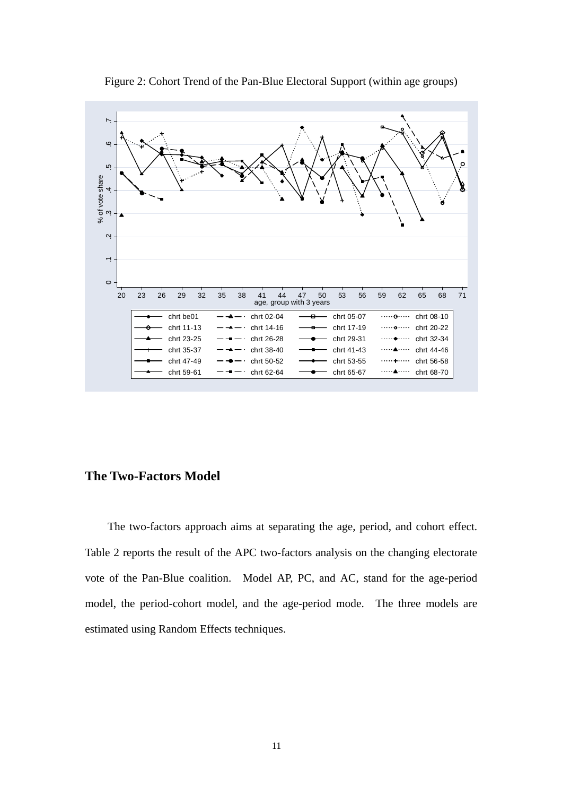

Figure 2: Cohort Trend of the Pan-Blue Electoral Support (within age groups)

# **The Two-Factors Model**

 The two-factors approach aims at separating the age, period, and cohort effect. Table 2 reports the result of the APC two-factors analysis on the changing electorate vote of the Pan-Blue coalition. Model AP, PC, and AC, stand for the age-period model, the period-cohort model, and the age-period mode. The three models are estimated using Random Effects techniques.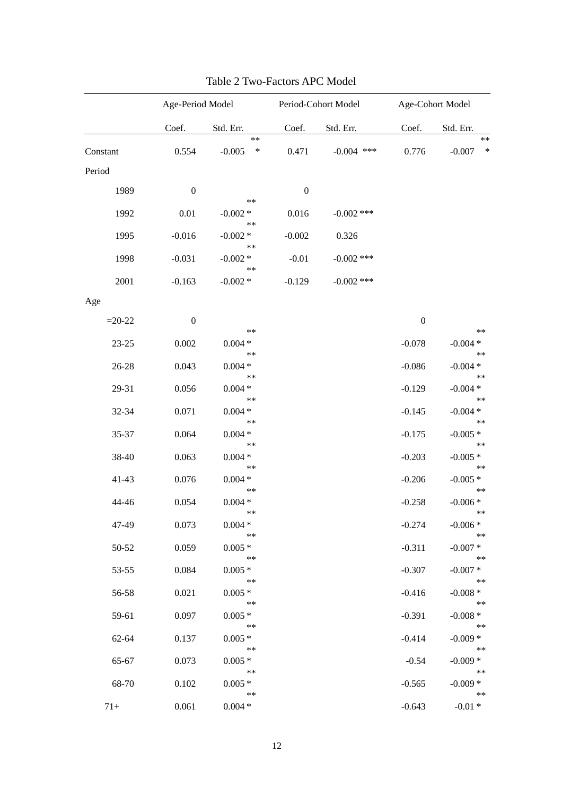|           | Age-Period Model |                             | Period-Cohort Model |              | Age-Cohort Model |                             |
|-----------|------------------|-----------------------------|---------------------|--------------|------------------|-----------------------------|
|           | Coef.            | Std. Err.                   | Coef.               | Std. Err.    | Coef.            | Std. Err.                   |
| Constant  | 0.554            | $***$<br>$-0.005$<br>$\ast$ | 0.471               | $-0.004$ *** | 0.776            | $***$<br>$\ast$<br>$-0.007$ |
| Period    |                  |                             |                     |              |                  |                             |
| 1989      | $\boldsymbol{0}$ |                             | $\boldsymbol{0}$    |              |                  |                             |
|           |                  | $***$                       |                     |              |                  |                             |
| 1992      | 0.01             | $-0.002 *$                  | 0.016               | $-0.002$ *** |                  |                             |
| 1995      | $-0.016$         | $***$<br>$-0.002*$          | $-0.002$            | 0.326        |                  |                             |
|           |                  | $***$                       |                     |              |                  |                             |
| 1998      | $-0.031$         | $-0.002*$                   | $-0.01$             | $-0.002$ *** |                  |                             |
| 2001      | $-0.163$         | **<br>$-0.002 *$            | $-0.129$            | $-0.002$ *** |                  |                             |
| Age       |                  |                             |                     |              |                  |                             |
|           |                  |                             |                     |              |                  |                             |
| $=20-22$  | $\boldsymbol{0}$ | $***$                       |                     |              | $\boldsymbol{0}$ | $**$                        |
| $23 - 25$ | 0.002            | $0.004*$                    |                     |              | $-0.078$         | $-0.004*$                   |
|           |                  | $***$                       |                     |              |                  | $***$                       |
| 26-28     | 0.043            | $0.004 *$<br>$***$          |                     |              | $-0.086$         | $-0.004*$<br>$***$          |
| 29-31     | 0.056            | $0.004*$                    |                     |              | $-0.129$         | $-0.004*$                   |
|           |                  | $***$                       |                     |              |                  | $***$                       |
| 32-34     | 0.071            | $0.004*$                    |                     |              | $-0.145$         | $-0.004*$                   |
| 35-37     | 0.064            | $***$<br>$0.004*$           |                     |              | $-0.175$         | $***$<br>$-0.005*$          |
|           |                  | $***$                       |                     |              |                  | $***$                       |
| 38-40     | 0.063            | $0.004*$                    |                     |              | $-0.203$         | $-0.005*$                   |
| $41 - 43$ | 0.076            | $***$<br>$0.004 *$          |                     |              | $-0.206$         | $***$<br>$-0.005*$          |
|           |                  | $***$                       |                     |              |                  | $***$                       |
| 44-46     | 0.054            | $0.004*$                    |                     |              | $-0.258$         | $-0.006*$                   |
| 47-49     | 0.073            | $***$<br>$0.004 *$          |                     |              | $-0.274$         | $**$<br>$-0.006*$           |
|           |                  | **                          |                     |              |                  | **                          |
| 50-52     | 0.059            | $0.005*$                    |                     |              | $-0.311$         | $-0.007*$                   |
|           |                  | **                          |                     |              |                  | $***$                       |
| 53-55     | 0.084            | $0.005*$<br>**              |                     |              | $-0.307$         | $-0.007*$<br>$**$           |
| 56-58     | 0.021            | $0.005*$                    |                     |              | $-0.416$         | $-0.008*$                   |
|           |                  | **                          |                     |              |                  | $**$                        |
| 59-61     | 0.097            | $0.005*$<br>**              |                     |              | $-0.391$         | $-0.008*$<br>$**$           |
| 62-64     | 0.137            | $0.005*$                    |                     |              | $-0.414$         | $-0.009*$                   |
|           |                  | **                          |                     |              |                  | $**$                        |
| 65-67     | 0.073            | $0.005*$<br>**              |                     |              | $-0.54$          | $-0.009*$<br>$**$           |
| 68-70     | 0.102            | $0.005*$                    |                     |              | $-0.565$         | $-0.009*$                   |
|           |                  | **                          |                     |              |                  | $**$                        |
| $71+$     | 0.061            | $0.004 *$                   |                     |              | $-0.643$         | $-0.01 *$                   |

| Table 2 Two-Factors APC Model |
|-------------------------------|
|-------------------------------|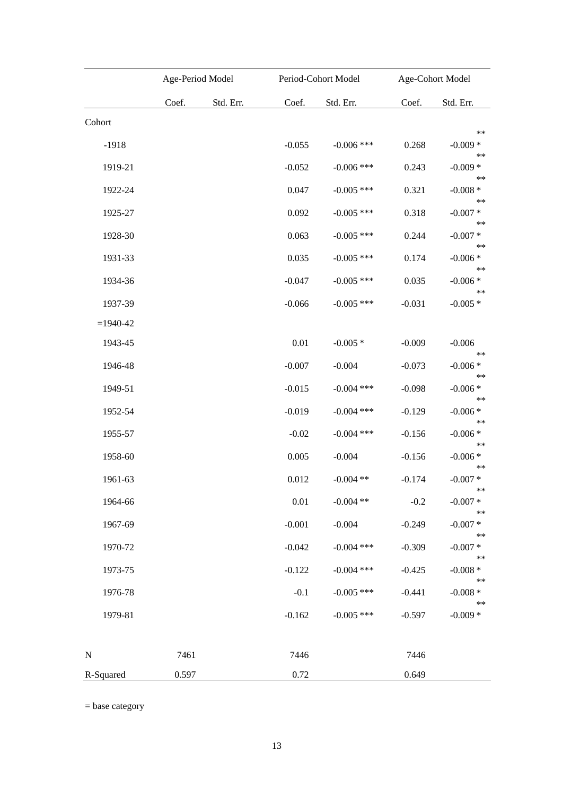|               | Age-Period Model |           | Period-Cohort Model |              | Age-Cohort Model |                           |
|---------------|------------------|-----------|---------------------|--------------|------------------|---------------------------|
|               | Coef.            | Std. Err. | Coef.               | Std. Err.    | Coef.            | Std. Err.                 |
| Cohort        |                  |           |                     |              |                  |                           |
| $-1918$       |                  |           | $-0.055$            | $-0.006$ *** | 0.268            | $**$<br>$-0.009*$<br>$**$ |
| 1919-21       |                  |           | $-0.052$            | $-0.006$ *** | 0.243            | $-0.009*$<br>$**$         |
| 1922-24       |                  |           | 0.047               | $-0.005$ *** | 0.321            | $-0.008*$                 |
| 1925-27       |                  |           | 0.092               | $-0.005$ *** | 0.318            | $**$<br>$-0.007*$         |
| 1928-30       |                  |           | 0.063               | $-0.005$ *** | 0.244            | $**$<br>$-0.007*$         |
| 1931-33       |                  |           | 0.035               | $-0.005$ *** | 0.174            | $**$<br>$-0.006*$         |
| 1934-36       |                  |           | $-0.047$            | $-0.005$ *** | 0.035            | $**$<br>$-0.006*$         |
| 1937-39       |                  |           | $-0.066$            | $-0.005$ *** | $-0.031$         | $**$<br>$-0.005*$         |
| $= 1940 - 42$ |                  |           |                     |              |                  |                           |
| 1943-45       |                  |           | 0.01                | $-0.005*$    | $-0.009$         | $-0.006$                  |
| 1946-48       |                  |           | $-0.007$            | $-0.004$     | $-0.073$         | $**$<br>$-0.006*$         |
| 1949-51       |                  |           | $-0.015$            | $-0.004$ *** | $-0.098$         | $**$<br>$-0.006*$         |
| 1952-54       |                  |           | $-0.019$            | $-0.004$ *** | $-0.129$         | $**$<br>$-0.006*$         |
| 1955-57       |                  |           | $-0.02$             | $-0.004$ *** | $-0.156$         | $**$<br>$-0.006*$         |
| 1958-60       |                  |           | 0.005               | $-0.004$     | $-0.156$         | $**$<br>$-0.006*$         |
| 1961-63       |                  |           | 0.012               | $-0.004$ **  | $-0.174$         | $**$<br>$-0.007 *$        |
| 1964-66       |                  |           | 0.01                | $-0.004$ **  | $-0.2$           | $***$<br>$-0.007*$        |
| 1967-69       |                  |           | $-0.001$            | $-0.004$     | $-0.249$         | $**$<br>$-0.007*$         |
| 1970-72       |                  |           | $-0.042$            | $-0.004$ *** | $-0.309$         | $**$<br>$-0.007*$         |
| 1973-75       |                  |           | $-0.122$            | $-0.004$ *** | $-0.425$         | $**$<br>$-0.008 *$        |
| 1976-78       |                  |           | $-0.1$              | $-0.005$ *** | $-0.441$         | $**$<br>$-0.008 *$        |
| 1979-81       |                  |           | $-0.162$            | $-0.005$ *** | $-0.597$         | $**$<br>$-0.009*$         |
| $\mathbf N$   | 7461             |           | 7446                |              | 7446             |                           |
| R-Squared     | 0.597            |           | 0.72                |              | 0.649            |                           |

= base category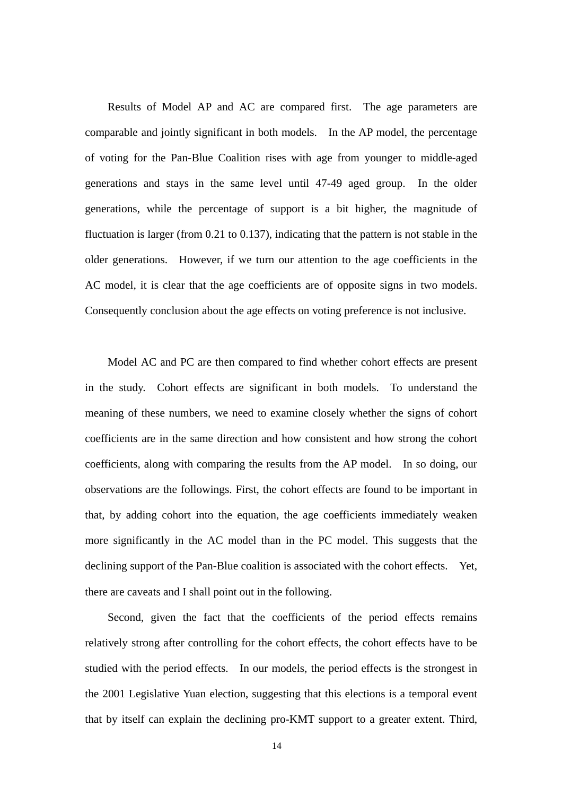Results of Model AP and AC are compared first. The age parameters are comparable and jointly significant in both models. In the AP model, the percentage of voting for the Pan-Blue Coalition rises with age from younger to middle-aged generations and stays in the same level until 47-49 aged group. In the older generations, while the percentage of support is a bit higher, the magnitude of fluctuation is larger (from 0.21 to 0.137), indicating that the pattern is not stable in the older generations. However, if we turn our attention to the age coefficients in the AC model, it is clear that the age coefficients are of opposite signs in two models. Consequently conclusion about the age effects on voting preference is not inclusive.

 Model AC and PC are then compared to find whether cohort effects are present in the study. Cohort effects are significant in both models. To understand the meaning of these numbers, we need to examine closely whether the signs of cohort coefficients are in the same direction and how consistent and how strong the cohort coefficients, along with comparing the results from the AP model. In so doing, our observations are the followings. First, the cohort effects are found to be important in that, by adding cohort into the equation, the age coefficients immediately weaken more significantly in the AC model than in the PC model. This suggests that the declining support of the Pan-Blue coalition is associated with the cohort effects. Yet, there are caveats and I shall point out in the following.

Second, given the fact that the coefficients of the period effects remains relatively strong after controlling for the cohort effects, the cohort effects have to be studied with the period effects. In our models, the period effects is the strongest in the 2001 Legislative Yuan election, suggesting that this elections is a temporal event that by itself can explain the declining pro-KMT support to a greater extent. Third,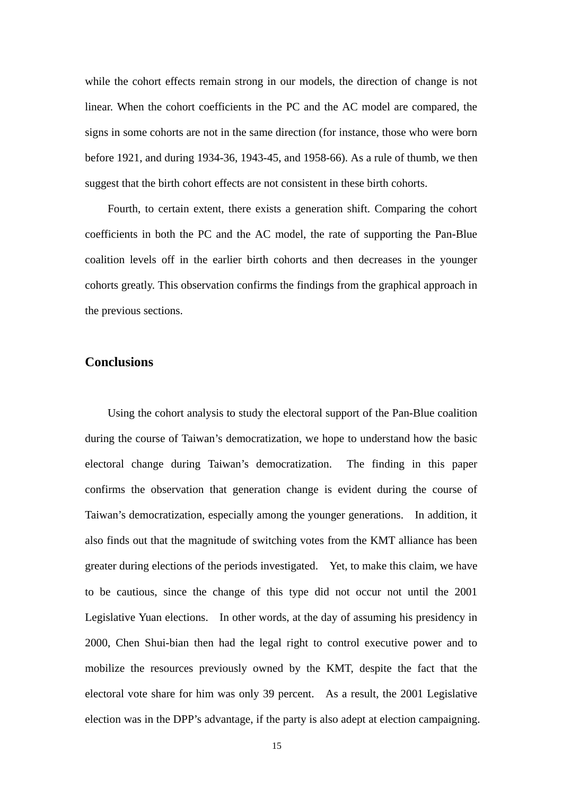while the cohort effects remain strong in our models, the direction of change is not linear. When the cohort coefficients in the PC and the AC model are compared, the signs in some cohorts are not in the same direction (for instance, those who were born before 1921, and during 1934-36, 1943-45, and 1958-66). As a rule of thumb, we then suggest that the birth cohort effects are not consistent in these birth cohorts.

Fourth, to certain extent, there exists a generation shift. Comparing the cohort coefficients in both the PC and the AC model, the rate of supporting the Pan-Blue coalition levels off in the earlier birth cohorts and then decreases in the younger cohorts greatly. This observation confirms the findings from the graphical approach in the previous sections.

# **Conclusions**

 Using the cohort analysis to study the electoral support of the Pan-Blue coalition during the course of Taiwan's democratization, we hope to understand how the basic electoral change during Taiwan's democratization. The finding in this paper confirms the observation that generation change is evident during the course of Taiwan's democratization, especially among the younger generations. In addition, it also finds out that the magnitude of switching votes from the KMT alliance has been greater during elections of the periods investigated. Yet, to make this claim, we have to be cautious, since the change of this type did not occur not until the 2001 Legislative Yuan elections. In other words, at the day of assuming his presidency in 2000, Chen Shui-bian then had the legal right to control executive power and to mobilize the resources previously owned by the KMT, despite the fact that the electoral vote share for him was only 39 percent. As a result, the 2001 Legislative election was in the DPP's advantage, if the party is also adept at election campaigning.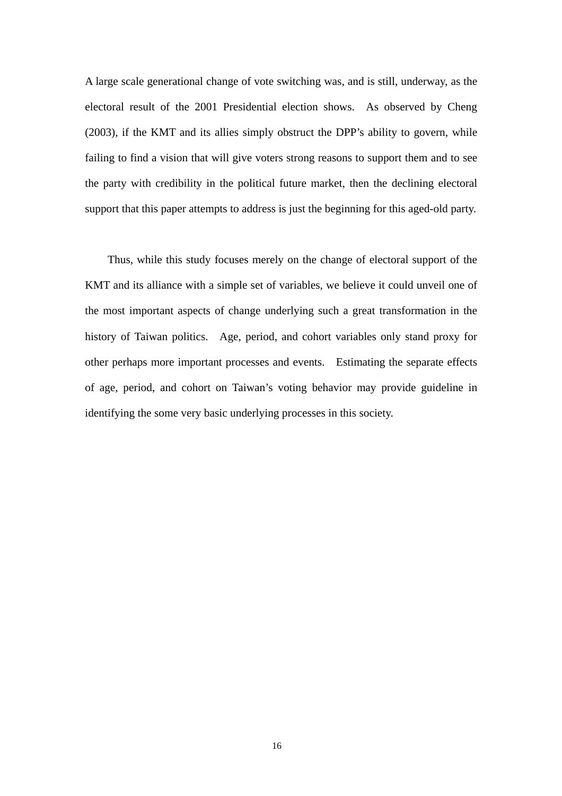A large scale generational change of vote switching was, and is still, underway, as the electoral result of the 2001 Presidential election shows. As observed by Cheng (2003), if the KMT and its allies simply obstruct the DPP's ability to govern, while failing to find a vision that will give voters strong reasons to support them and to see the party with credibility in the political future market, then the declining electoral support that this paper attempts to address is just the beginning for this aged-old party.

 Thus, while this study focuses merely on the change of electoral support of the KMT and its alliance with a simple set of variables, we believe it could unveil one of the most important aspects of change underlying such a great transformation in the history of Taiwan politics. Age, period, and cohort variables only stand proxy for other perhaps more important processes and events. Estimating the separate effects of age, period, and cohort on Taiwan's voting behavior may provide guideline in identifying the some very basic underlying processes in this society.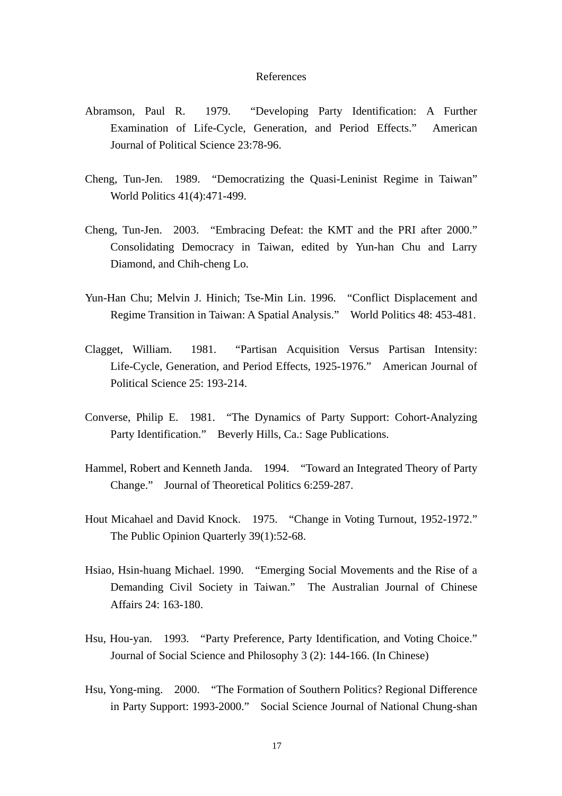#### References

- Abramson, Paul R. 1979. "Developing Party Identification: A Further Examination of Life-Cycle, Generation, and Period Effects." American Journal of Political Science 23:78-96.
- Cheng, Tun-Jen. 1989. "Democratizing the Quasi-Leninist Regime in Taiwan" World Politics 41(4):471-499.
- Cheng, Tun-Jen. 2003. "Embracing Defeat: the KMT and the PRI after 2000." Consolidating Democracy in Taiwan, edited by Yun-han Chu and Larry Diamond, and Chih-cheng Lo.
- Yun-Han Chu; Melvin J. Hinich; Tse-Min Lin. 1996. "Conflict Displacement and Regime Transition in Taiwan: A Spatial Analysis." World Politics 48: 453-481.
- Clagget, William. 1981. "Partisan Acquisition Versus Partisan Intensity: Life-Cycle, Generation, and Period Effects, 1925-1976." American Journal of Political Science 25: 193-214.
- Converse, Philip E. 1981. "The Dynamics of Party Support: Cohort-Analyzing Party Identification." Beverly Hills, Ca.: Sage Publications.
- Hammel, Robert and Kenneth Janda. 1994. "Toward an Integrated Theory of Party Change." Journal of Theoretical Politics 6:259-287.
- Hout Micahael and David Knock. 1975. "Change in Voting Turnout, 1952-1972." The Public Opinion Quarterly 39(1):52-68.
- Hsiao, Hsin-huang Michael. 1990. "Emerging Social Movements and the Rise of a Demanding Civil Society in Taiwan." The Australian Journal of Chinese Affairs 24: 163-180.
- Hsu, Hou-yan. 1993. "Party Preference, Party Identification, and Voting Choice." Journal of Social Science and Philosophy 3 (2): 144-166. (In Chinese)
- Hsu, Yong-ming. 2000. "The Formation of Southern Politics? Regional Difference in Party Support: 1993-2000." Social Science Journal of National Chung-shan